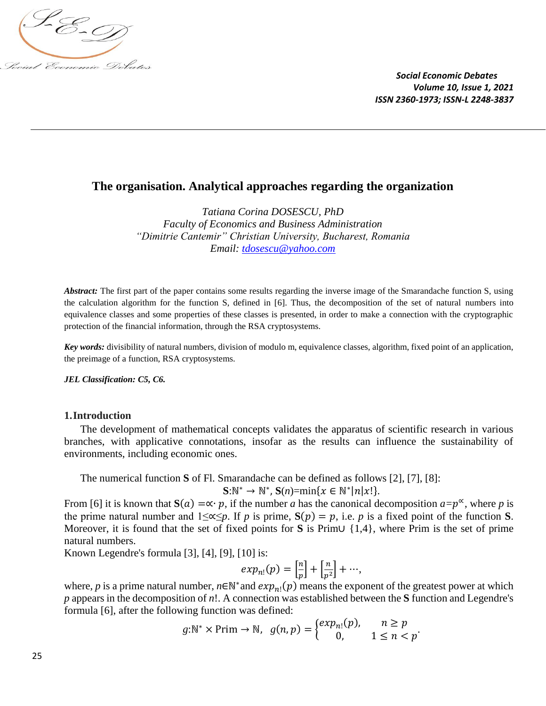

# **The organisation. Analytical approaches regarding the organization**

*Tatiana Corina DOSESCU, PhD Faculty of Economics and Business Administration "Dimitrie Cantemir" Christian University, Bucharest, Romania Email: [tdosescu@yahoo.com](mailto:tdosescu@yahoo.com)*

*Abstract:* The first part of the paper contains some results regarding the inverse image of the Smarandache function S, using the calculation algorithm for the function S, defined in [6]. Thus, the decomposition of the set of natural numbers into equivalence classes and some properties of these classes is presented, in order to make a connection with the cryptographic protection of the financial information, through the RSA cryptosystems.

*Key words:* divisibility of natural numbers, division of modulo m, equivalence classes, algorithm, fixed point of an application, the preimage of a function, RSA cryptosystems.

#### *JEL Classification: C5, C6.*

#### **1.Introduction**

The development of mathematical concepts validates the apparatus of scientific research in various branches, with applicative connotations, insofar as the results can influence the sustainability of environments, including economic ones.

The numerical function **S** of Fl. Smarandache can be defined as follows [2], [7], [8]:

$$
\mathbf{S}:\mathbb{N}^* \to \mathbb{N}^*, \mathbf{S}(n) = \min\{x \in \mathbb{N}^* | n|x!\}.
$$

From [6] it is known that  $S(a) = \alpha \cdot p$ , if the number *a* has the canonical decomposition  $a = p^{\alpha}$ , where *p* is the prime natural number and  $1 \leq \alpha \leq p$ . If *p* is prime,  $S(p) = p$ , i.e. *p* is a fixed point of the function **S**. Moreover, it is found that the set of fixed points for **S** is Prim∪ {1,4}, where Prim is the set of prime natural numbers.

Known Legendre's formula [3], [4], [9], [10] is:

$$
exp_{n!}(p) = \left[\frac{n}{p}\right] + \left[\frac{n}{p^2}\right] + \cdots,
$$

where, *p* is a prime natural number,  $n \in \mathbb{N}^*$  and  $exp_{n!}(p)$  means the exponent of the greatest power at which *p* appears in the decomposition of *n*!. A connection was established between the **S** function and Legendre's formula [6], after the following function was defined:

$$
g:\mathbb{N}^* \times \text{Prim} \to \mathbb{N}, \ \ g(n,p) = \begin{cases} exp_{n!}(p), & n \ge p \\ 0, & 1 \le n < p \end{cases}.
$$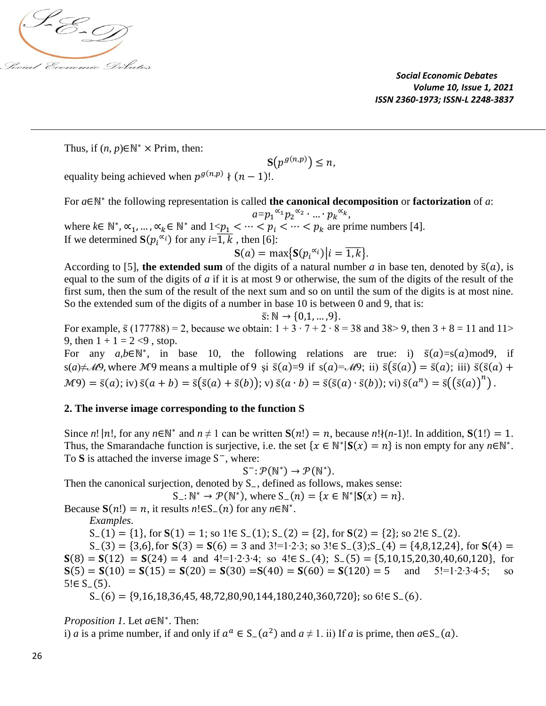

Thus, if  $(n, p) \in \mathbb{N}^* \times \text{Prim}$ , then:

$$
\mathbf{S}\big(p^{g(n,p)}\big)\leq n,
$$

equality being achieved when  $p^{g(n,p)} \nmid (n-1)!$ .

For *a*∈ℕ ∗ the following representation is called **the canonical decomposition** or **factorization** of *a*:  $a=p_1{}^{\alpha_1}p_2{}^{\alpha_2} \cdot ... \cdot p_k{}^{\alpha_k},$ where  $k \in \mathbb{N}^*$ ,  $\alpha_1, ..., \alpha_k \in \mathbb{N}^*$  and  $1 < p_1 < \cdots < p_i < \cdots < p_k$  are prime numbers [4]. If we determined  $S(p_i^{\alpha_i})$  for any  $i=\overline{1,k}$  , then [6]:

$$
S(a) = \max\{S(p_i^{\alpha_i})\big| i = \overline{1,k}\}.
$$

According to [5], **the extended sum** of the digits of a natural number *a* in base ten, denoted by  $\bar{s}(a)$ , is equal to the sum of the digits of *a* if it is at most 9 or otherwise, the sum of the digits of the result of the first sum, then the sum of the result of the next sum and so on until the sum of the digits is at most nine. So the extended sum of the digits of a number in base 10 is between 0 and 9, that is:

$$
\bar{s}: \mathbb{N} \to \{0,1,\ldots,9\}.
$$

For example,  $\bar{s}$  (177788) = 2, because we obtain:  $1 + 3 \cdot 7 + 2 \cdot 8 = 38$  and  $38 > 9$ , then  $3 + 8 = 11$  and  $11 >$ 9, then  $1 + 1 = 2 \le 9$ , stop.

For any  $a,b \in \mathbb{N}^*$ , in base 10, the following relations are true: i)  $\bar{s}(a)=s(a) \mod 9$ , if s(a)≠M9, where M9 means a multiple of 9 si  $\bar{s}(a)=9$  if s(a)=M9; ii)  $\bar{s}(\bar{s}(a)) = \bar{s}(a)$ ; iii)  $\bar{s}(\bar{s}(a) +$  $M9$ ) =  $\bar{s}(a)$ ; iv)  $\bar{s}(a + b) = \bar{s}(\bar{s}(a) + \bar{s}(b))$ ; v)  $\bar{s}(a \cdot b) = \bar{s}(\bar{s}(a) \cdot \bar{s}(b))$ ; vi)  $\bar{s}(a^n) = \bar{s}((\bar{s}(a))^{n})$ .

## **2. The inverse image corresponding to the function S**

Since *n*! |*n*!, for any  $n \in \mathbb{N}^*$  and  $n \neq 1$  can be written  $S(n!) = n$ , because  $n! \{(n-1)!\}$ . In addition,  $S(1!) = 1$ . Thus, the Smarandache function is surjective, i.e. the set  $\{x \in \mathbb{N}^* | S(x) = n\}$  is non empty for any  $n \in \mathbb{N}^*$ . To S is attached the inverse image S<sup>−</sup>, where:

$$
S^{-} \colon \mathcal{P}(\mathbb{N}^{*}) \to \mathcal{P}(\mathbb{N}^{*}).
$$

Then the canonical surjection, denoted by S<sub>−</sub>, defined as follows, makes sense:

 $S_-: \mathbb{N}^* \to \mathcal{P}(\mathbb{N}^*)$ , where  $S_-(n) = \{x \in \mathbb{N}^* | S(x) = n\}.$ 

Because  $S(n!) = n$ , it results  $n! \in S_-(n)$  for any  $n \in \mathbb{N}^*$ .

*Examples*.

S−(1) = {1}, for **S**(1) = 1; so 1!∈ S−(1); S−(2) = {2}, for **S**(2) = {2}; so 2!∈ S−(2).

S−(3) = {3,6}, for **S**(3) = (6) = 3 and 3!=1∙2∙3; so 3!∈ S−(3);S−(4) = {4,8,12,24}, for **S**(4) =  $S(8) = S(12) = S(24) = 4$  and 4!=1⋅2⋅3⋅4; so 4!∈ S−(4); S−(5) = {5,10,15,20,30,40,60,120}, for  $S(5) = S(10) = S(15) = S(20) = S(30) = S(40) = S(60) = S(120) = 5$  and 5!=1⋅2⋅3⋅4⋅5; so  $S(5) = S(10) = S(15) = S(20) = S(30) = S(40) = S(60) = S(120) = 5$  and  $5! = 1 \cdot 2 \cdot 3 \cdot 4 \cdot 5$ ; so  $5! \in S_{-}(5)$ .

$$
S_{-}(6) = \{9,16,18,36,45,48,72,80,90,144,180,240,360,720\};\,\text{so}\,6!\in S_{-}(6).
$$

*Proposition 1*. Let *a*∈N<sup>\*</sup>. Then:

i) *a* is a prime number, if and only if  $a^a \in S_-(a^2)$  and  $a \neq 1$ . ii) If *a* is prime, then  $a \in S_-(a)$ .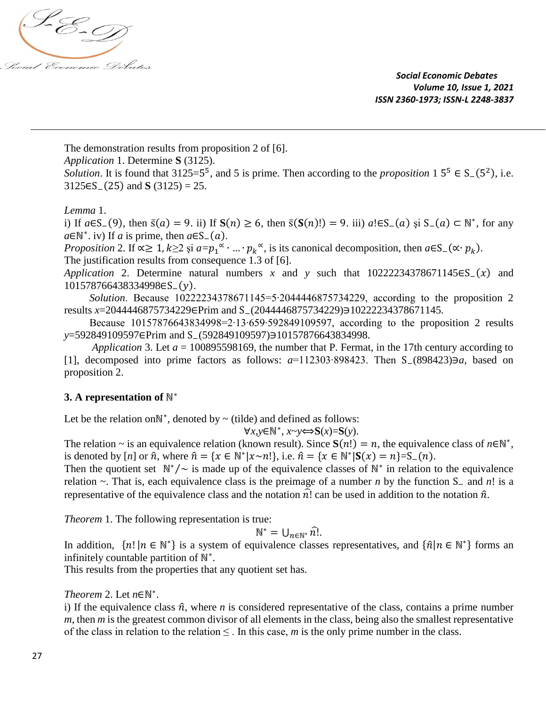

The demonstration results from proposition 2 of [6].

*Application* 1. Determine **S** (3125).

*Solution*. It is found that  $3125=5^5$ , and 5 is prime. Then according to the *proposition*  $1\ 5^5 \in S_-(5^2)$ , i.e. 3125∈S−(25) and **S** (3125) = 25.

## *Lemma* 1.

i) If  $a \in S_-(9)$ , then  $\bar{s}(a) = 9$ . ii) If  $S(n) \ge 6$ , then  $\bar{s}(S(n)!)=9$ . iii)  $a! \in S_-(a)$  și  $S_-(a) \subset \mathbb{N}^*$ , for any  $a \in \mathbb{N}^*$ . iv) If *a* is prime, then  $a \in S_-(a)$ .

*Proposition* 2. If  $\alpha \geq 1$ ,  $k \geq 2$  și  $a = p_1^\alpha \cdot ... \cdot p_k^\alpha$ , is its canonical decomposition, then  $a \in S_-(\alpha \cdot p_k)$ . The justification results from consequence 1.3 of [6].

*Application* 2. Determine natural numbers *x* and *y* such that 10222234378671145∈S<sub>−</sub>(*x*) and 101578766438334998∈S−().

*Solution*. Because 10222234378671145=5∙2044446875734229, according to the proposition 2 results *x*=2044446875734229∈Prim and S−(2044446875734229)∋10222234378671145.

Because 10157876643834998=2∙13∙659∙592849109597, according to the proposition 2 results *y*=592849109597∈Prim and S−(592849109597)∋10157876643834998.

*Application* 3. Let *a* = 100895598169, the number that P. Fermat, in the 17th century according to [1], decomposed into prime factors as follows: *a*=112303∙898423. Then S−(898423)∋*a*, based on proposition 2.

## **3.** A representation of  $\mathbb{N}^*$

Let be the relation on $\mathbb{N}^*$ , denoted by  $\sim$  (tilde) and defined as follows:

$$
\forall x, y \in \mathbb{N}^*, x \sim y \Longleftrightarrow S(x) = S(y).
$$

The relation ~ is an equivalence relation (known result). Since  $S(n!) = n$ , the equivalence class of  $n \in \mathbb{N}^*$ , is denoted by  $[n]$  or  $\hat{n}$ , where  $\hat{n} = \{x \in \mathbb{N}^* | x \sim n! \}$ , i.e.  $\hat{n} = \{x \in \mathbb{N}^* | S(x) = n\} = S_-(n)$ .

Then the quotient set  $\mathbb{N}^*/\sim$  is made up of the equivalence classes of  $\mathbb{N}^*$  in relation to the equivalence relation ~. That is, each equivalence class is the preimage of a number *n* by the function S<sup>−</sup> and *n*! is a representative of the equivalence class and the notation  $\hat{n}$ ! can be used in addition to the notation  $\hat{n}$ .

*Theorem* 1. The following representation is true:

$$
\mathbb{N}^* = \bigcup_{n \in \mathbb{N}^*} \widehat{n}.
$$

In addition,  $\{n! | n \in \mathbb{N}^*\}$  is a system of equivalence classes representatives, and  $\{\hat{n} | n \in \mathbb{N}^*\}$  forms an infinitely countable partition of  $\mathbb{N}^*$ .

This results from the properties that any quotient set has.

*Theorem* 2. Let *n*∈ℕ ∗ .

i) If the equivalence class  $\hat{n}$ , where *n* is considered representative of the class, contains a prime number *m*, then *m* is the greatest common divisor of all elements in the class, being also the smallest representative of the class in relation to the relation  $\leq$ . In this case, *m* is the only prime number in the class.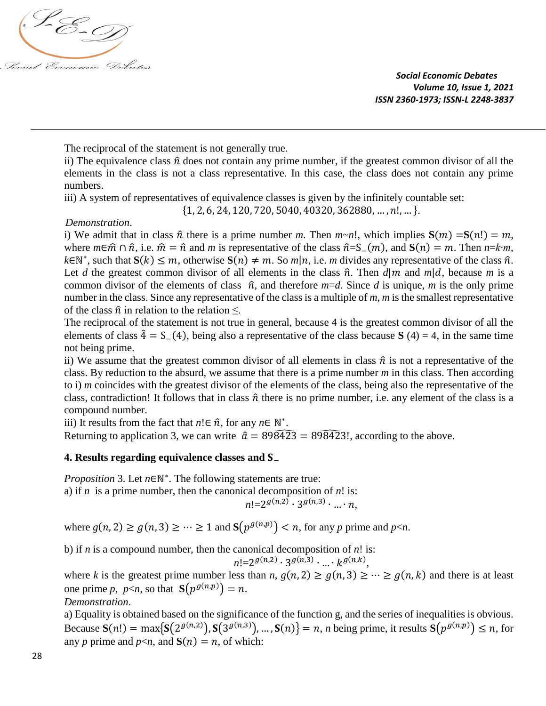

The reciprocal of the statement is not generally true.

ii) The equivalence class  $\hat{n}$  does not contain any prime number, if the greatest common divisor of all the elements in the class is not a class representative. In this case, the class does not contain any prime numbers.

iii) A system of representatives of equivalence classes is given by the infinitely countable set:

 $\{1, 2, 6, 24, 120, 720, 5040, 40320, 362880, \ldots, n!, \ldots\}.$ 

## *Demonstration*.

i) We admit that in class  $\hat{n}$  there is a prime number *m*. Then  $m \sim n!$ , which implies  $S(m) = S(n!) = m$ , where  $m \in \hat{m} \cap \hat{n}$ , i.e.  $\hat{m} = \hat{n}$  and *m* is representative of the class  $\hat{n} = S_-(m)$ , and  $S(n) = m$ . Then  $n = k \cdot m$ ,  $k \in \mathbb{N}^*$ , such that  $S(k) \leq m$ , otherwise  $S(n) \neq m$ . So  $m|n$ , i.e. *m* divides any representative of the class  $\hat{n}$ . Let *d* the greatest common divisor of all elements in the class  $\hat{n}$ . Then  $d|m$  and  $m|d$ , because *m* is a common divisor of the elements of class  $\hat{n}$ , and therefore  $m=d$ . Since *d* is unique, *m* is the only prime number in the class. Since any representative of the class is a multiple of *m*, *m* is the smallest representative of the class  $\hat{n}$  in relation to the relation  $\leq$ .

The reciprocal of the statement is not true in general, because 4 is the greatest common divisor of all the elements of class  $\hat{4} = S_{-}(4)$ , being also a representative of the class because **S** (4) = 4, in the same time not being prime.

ii) We assume that the greatest common divisor of all elements in class  $\hat{n}$  is not a representative of the class. By reduction to the absurd, we assume that there is a prime number *m* in this class. Then according to i) *m* coincides with the greatest divisor of the elements of the class, being also the representative of the class, contradiction! It follows that in class  $\hat{n}$  there is no prime number, i.e. any element of the class is a compound number.

iii) It results from the fact that  $n! \in \hat{n}$ , for any  $n \in \mathbb{N}^*$ .

Returning to application 3, we can write  $\hat{a} = 898423 = 898423!$ , according to the above.

## **4. Results regarding equivalence classes and S**

*Proposition* 3. Let *n*∈ℕ<sup>\*</sup>. The following statements are true:

a) if *n* is a prime number, then the canonical decomposition of *n*! is:

$$
n! = 2^{g(n,2)} \cdot 3^{g(n,3)} \cdot \ldots \cdot n,
$$

where  $g(n, 2) \ge g(n, 3) \ge \cdots \ge 1$  and  $\mathbf{S}(p^{g(n, p)}) < n$ , for any *p* prime and *p*<*n*.

b) if *n* is a compound number, then the canonical decomposition of *n*! is:

 $n! = 2^{g(n,2)} \cdot 3^{g(n,3)} \cdot ... \cdot k^{g(n,k)},$ 

where *k* is the greatest prime number less than *n*,  $g(n, 2) \ge g(n, 3) \ge \cdots \ge g(n, k)$  and there is at least one prime *p*,  $p \le n$ , so that  $S(p^{g(n,p)}) = n$ .

*Demonstration*.

a) Equality is obtained based on the significance of the function g, and the series of inequalities is obvious. Because  $S(n!) = \max\{S(2^{g(n,2)}), S(3^{g(n,3)}), \ldots, S(n)\} = n$ , *n* being prime, it results  $S(p^{g(n,p)}) \leq n$ , for any *p* prime and  $p \le n$ , and  $S(n) = n$ , of which: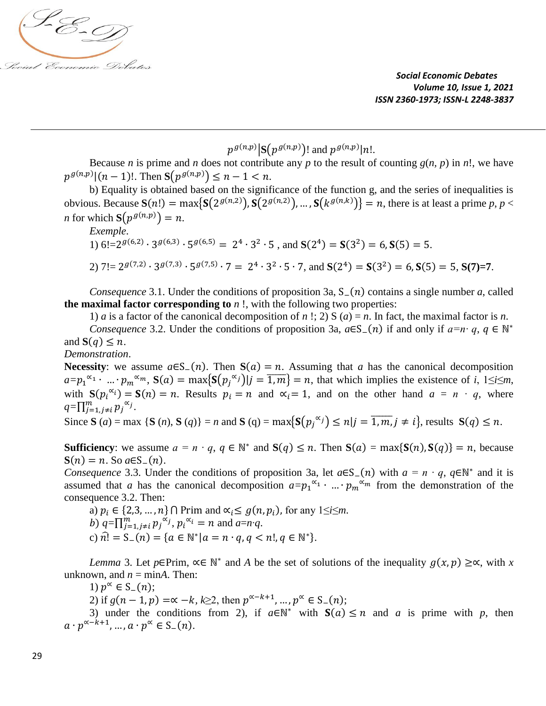

# $p^{g(n,p)}$   $|\mathbf{S}(p^{g(n,p)})|$  and  $p^{g(n,p)}|n!$ .

Because *n* is prime and *n* does not contribute any *p* to the result of counting  $g(n, p)$  in *n*!, we have  $p^{g(n,p)}|(n-1)!$ . Then  $S(p^{g(n,p)}) \leq n-1 < n$ .

b) Equality is obtained based on the significance of the function g, and the series of inequalities is obvious. Because  $S(n!) = \max\{S(2^{g(n,2)}), S(2^{g(n,2)}), \dots, S(k^{g(n,k)})\} = n$ , there is at least a prime *p*, *p* < *n* for which  $S(p^{g(n,p)}) = n$ .

*Exemple*.

1)  $6! = 2^{g(6,2)} \cdot 3^{g(6,3)} \cdot 5^{g(6,5)} = 2^4 \cdot 3^2 \cdot 5$ , and  $S(2^4) = S(3^2) = 6$ ,  $S(5) = 5$ . 2)  $7! = 2^{g(7,2)} \cdot 3^{g(7,3)} \cdot 5^{g(7,5)} \cdot 7 = 2^4 \cdot 3^2 \cdot 5 \cdot 7$ , and  $S(2^4) = S(3^2) = 6$ ,  $S(5) = 5$ ,  $S(7)=7$ .

*Consequence* 3.1. Under the conditions of proposition 3a, S−(n) contains a single number *a*, called **the maximal factor corresponding to** *n* !, with the following two properties:

1) *a* is a factor of the canonical decomposition of *n* !; 2) S (*a*) = *n*. In fact, the maximal factor is *n*.

*Consequence* 3.2. Under the conditions of proposition 3a,  $a \in S_-(n)$  if and only if  $a=n \cdot q$ ,  $q \in \mathbb{N}^*$ and  $S(q) \leq n$ .

### *Demonstration*.

**Necessity**: we assume  $a \in S_-(n)$ . Then  $S(a) = n$ . Assuming that *a* has the canonical decomposition  $a=p_1^{\alpha_1} \cdot ... \cdot p_m^{\alpha_m}$ ,  $S(a) = \max\{S(p_j^{\alpha_j}) | j = \overline{1,m}\} = n$ , that which implies the existence of *i*,  $1 \le i \le m$ , with  $S(p_i^{\alpha_i}) = S(n) = n$ . Results  $p_i = n$  and  $\alpha_i = 1$ , and on the other hand  $a = n \cdot q$ , where  $q=\prod_{j=1,j\neq i}^m p_j^{\alpha_j}.$ 

Since **S** (*a*) = max {**S** (*n*), **S** (*q*)} = *n* and **S** (**q**) = max{**S**(
$$
p_j^{\alpha_j}
$$
)  $\leq n | j = \overline{1, m}, j \neq i$ }, results **S**(*q*)  $\leq n$ .

**Sufficiency**: we assume  $a = n \cdot q$ ,  $q \in \mathbb{N}^*$  and  $S(q) \leq n$ . Then  $S(a) = \max\{S(n), S(q)\} = n$ , because  $S(n) = n$ . So  $a \in S_-(n)$ .

*Consequence* 3.3. Under the conditions of proposition 3a, let  $a \in S_-(n)$  with  $a = n \cdot q$ ,  $q \in \mathbb{N}^*$  and it is assumed that *a* has the canonical decomposition  $a=p_1^{\alpha_1} \cdot ... \cdot p_m^{\alpha_m}$  from the demonstration of the consequence 3.2. Then:

a)  $p_i \in \{2, 3, ..., n\} \cap \text{Prim and } \alpha_i \le g(n, p_i)$ , for any  $1 \le i \le m$ . b)  $q = \prod_{j=1, j \neq i}^{m} p_j^{\alpha_j}, p_i^{\alpha_i} = n$  and  $a=n \cdot q$ . c)  $\hat{n}$ ! = S<sub>-</sub>(n) = { $a \in \mathbb{N}^* | a = n \cdot q, q < n!$ ,  $q \in \mathbb{N}^*$  }.

*Lemma* 3. Let *p*∈Prim,  $\alpha \in \mathbb{N}^*$  and *A* be the set of solutions of the inequality  $g(x, p) \geq \alpha$ , with *x* unknown, and  $n = minA$ . Then:

1)  $p^{\alpha} \in S_{-}(n)$ ;

2) if  $g(n-1, p) = \alpha - k$ ,  $k \ge 2$ , then  $p^{\alpha-k+1}$ , ...,  $p^{\alpha} \in S_{-}(n)$ ;

3) under the conditions from 2), if  $a \in \mathbb{N}^*$  with  $S(a) \le n$  and *a* is prime with *p*, then  $a \cdot p^{\alpha-k+1}, \ldots, a \cdot p^{\alpha} \in S_{-}(n).$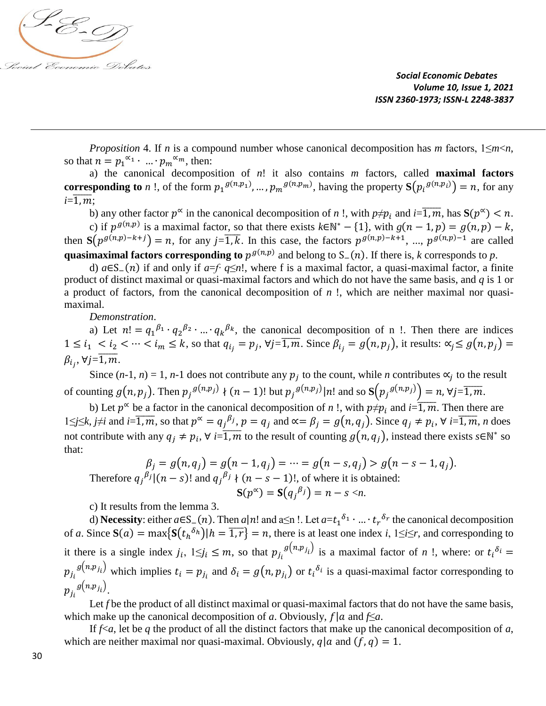

*Proposition* 4. If *n* is a compound number whose canonical decomposition has *m* factors, 1≤*m*<*n*, so that  $n = p_1^{\alpha_1} \cdot ... \cdot p_m^{\alpha_m}$ , then:

a) the canonical decomposition of  $n!$  it also contains  $m$  factors, called **maximal factors corresponding to** *n* !, of the form  $p_1^{g(n,p_1)}$ , ...,  $p_m^{g(n,p_m)}$ , having the property  $\mathbf{S}(p_i^{g(n,p_i)}) = n$ , for any  $i = \overline{1, m}$ .

b) any other factor  $p^{\infty}$  in the canonical decomposition of *n* !, with  $p \neq p_i$  and  $i = \overline{1, m}$ , has  $S(p^{\infty}) < n$ . c) if  $p^{g(n,p)}$  is a maximal factor, so that there exists  $k \in \mathbb{N}^* - \{1\}$ , with  $g(n-1,p) = g(n,p) - k$ , then  $S(p^{g(n,p)-k+j}) = n$ , for any  $j=\overline{1,k}$ . In this case, the factors  $p^{g(n,p)-k+1}$ , ...,  $p^{g(n,p)-1}$  are called **quasimaximal factors corresponding to**  $p^{g(n,p)}$  and belong to S<sub>−</sub>(n). If there is, *k* corresponds to *p*.

d) *a*∈S−() if and only if *a*=*f∙ q*≤*n*!, where f is a maximal factor, a quasi-maximal factor, a finite product of distinct maximal or quasi-maximal factors and which do not have the same basis, and *q* is 1 or a product of factors, from the canonical decomposition of *n* !, which are neither maximal nor quasimaximal.

*Demonstration*.

a) Let  $n! = q_1^{\beta_1} \cdot q_2^{\beta_2} \cdot ... \cdot q_k^{\beta_k}$ , the canonical decomposition of n !. Then there are indices  $1 \le i_1 \le i_2 \le \cdots \le i_m \le k$ , so that  $q_{i_j} = p_j$ ,  $\forall j = \overline{1, m}$ . Since  $\beta_{i_j} = g(n, p_j)$ , it results:  $\alpha_j \le g(n, p_j) =$  $\beta_{i_j}$ , ∀j= $\overline{1,m}$ .

Since  $(n-1, n) = 1$ ,  $n-1$  does not contribute any  $p_j$  to the count, while *n* contributes  $\alpha_j$  to the result of counting  $g(n, p_j)$ . Then  $p_j^{g(n, p_j)} \nmid (n - 1)!$  but  $p_j^{g(n, p_j)}|n!$  and so  $S(p_j^{g(n, p_j)}) = n$ ,  $\forall j = \overline{1, m}$ .

b) Let  $p^{\alpha}$  be a factor in the canonical decomposition of *n* !, with  $p \neq p_i$  and  $i=\overline{1,m}$ . Then there are 1≤*j*≤*k*, *j*≠*i* and *i*= $\overline{1,m}$ , so that  $p^{\alpha} = q_j^{\beta_j}$ ,  $p = q_j$  and  $\alpha = \beta_j = g(n, q_j)$ . Since  $q_j \neq p_i$ ,  $\forall i=\overline{1,m}$ , *n* does not contribute with any  $q_j \neq p_i$ ,  $\forall i = \overline{1,m}$  to the result of counting  $g(n, q_j)$ , instead there exists  $s \in \mathbb{N}^*$  so that:

$$
\beta_j = g(n, q_j) = g(n - 1, q_j) = \dots = g(n - s, q_j) > g(n - s - 1, q_j).
$$
\nTherefore  $q_j^{\beta_j} | (n - s)!$  and  $q_j^{\beta_j} \nmid (n - s - 1)!$ , of where it is obtained:

\n
$$
\mathbf{S}(p^{\infty}) = \mathbf{S}(q_j^{\beta_j}) = n - s < n.
$$

c) It results from the lemma 3.

d) **Necessity**: either  $a \in S_-(n)$ . Then  $a|n!$  and  $a \le n!$ . Let  $a = t_1^{\delta_1} \cdot ... \cdot t_r^{\delta_r}$  the canonical decomposition of *a*. Since  $S(a) = \max\{S(t_h^{\delta_h}) | h = \overline{1, r}\} = n$ , there is at least one index *i*,  $1 \le i \le r$ , and corresponding to it there is a single index  $j_i$ ,  $1 \leq j_i \leq m$ , so that  $p_{j_i}^{g(n,p_{j_i})}$  is a maximal factor of *n* !, where: or  $t_i^{\delta_i}$  =  $p_{j_i}^{g(n,p_{j_i})}$  which implies  $t_i = p_{j_i}$  and  $\delta_i = g(n, p_{j_i})$  or  $t_i^{\delta_i}$  is a quasi-maximal factor corresponding to  $p_{j_i}^{\,g(n,p_{j_i})}.$ 

Let *f* be the product of all distinct maximal or quasi-maximal factors that do not have the same basis, which make up the canonical decomposition of *a*. Obviously,  $f | a$  and  $f \le a$ .

If  $f \le a$ , let be q the product of all the distinct factors that make up the canonical decomposition of a, which are neither maximal nor quasi-maximal. Obviously,  $q | a$  and  $(f, q) = 1$ .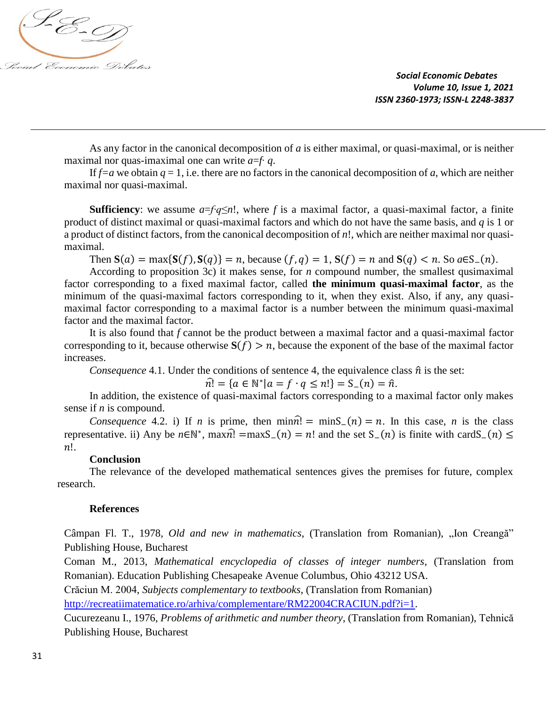

As any factor in the canonical decomposition of *a* is either maximal, or quasi-maximal, or is neither maximal nor quas-imaximal one can write *a*=*f*∙ *q*.

If  $f=a$  we obtain  $q=1$ , i.e. there are no factors in the canonical decomposition of *a*, which are neither maximal nor quasi-maximal.

**Sufficiency**: we assume *a*=*f∙q*≤*n*!, where *f* is a maximal factor, a quasi-maximal factor, a finite product of distinct maximal or quasi-maximal factors and which do not have the same basis, and *q* is 1 or a product of distinct factors, from the canonical decomposition of *n*!, which are neither maximal nor quasimaximal.

Then  $S(a) = \max\{S(f), S(g)\} = n$ , because  $(f, q) = 1$ ,  $S(f) = n$  and  $S(q) < n$ . So  $a \in S_-(n)$ .

According to proposition 3c) it makes sense, for *n* compound number, the smallest qusimaximal factor corresponding to a fixed maximal factor, called **the minimum quasi-maximal factor**, as the minimum of the quasi-maximal factors corresponding to it, when they exist. Also, if any, any quasimaximal factor corresponding to a maximal factor is a number between the minimum quasi-maximal factor and the maximal factor.

It is also found that *f* cannot be the product between a maximal factor and a quasi-maximal factor corresponding to it, because otherwise  $S(f) > n$ , because the exponent of the base of the maximal factor increases.

*Consequence* 4.1. Under the conditions of sentence 4, the equivalence class  $\hat{n}$  is the set:

 $\hat{n}$ ! = { $a \in \mathbb{N}^* | a = f \cdot q \le n!$ } = S\_ $(n) = \hat{n}$ .

In addition, the existence of quasi-maximal factors corresponding to a maximal factor only makes sense if *n* is compound.

*Consequence* 4.2. i) If *n* is prime, then  $\min \hat{n} = \min \sum (n) = n$ . In this case, *n* is the class representative. ii) Any be  $n \in \mathbb{N}^*$ , max $\hat{n}$ ! =maxS<sub>-</sub>(n) = n! and the set S<sub>-</sub>(n) is finite with cardS<sub>-</sub>(n)  $\leq$  $n!$ .

#### **Conclusion**

The relevance of the developed mathematical sentences gives the premises for future, complex research.

#### **References**

Câmpan Fl. T., 1978, *Old and new in mathematics*, (Translation from Romanian), "Ion Creangă" Publishing House, Bucharest

Coman M., 2013, *Mathematical encyclopedia of classes of integer numbers*, (Translation from Romanian). Education Publishing Chesapeake Avenue Columbus, Ohio 43212 USA.

Crăciun M. 2004, *Subjects complementary to textbooks*, (Translation from Romanian)

[http://recreatiimatematice.ro/arhiva/complementare/RM22004CRACIUN.pdf?i=1.](http://recreatiimatematice.ro/arhiva/complementare/RM22004CRACIUN.pdf?i=1)

Cucurezeanu I., 1976, *Problems of arithmetic and number theory*, (Translation from Romanian), Tehnică Publishing House, Bucharest